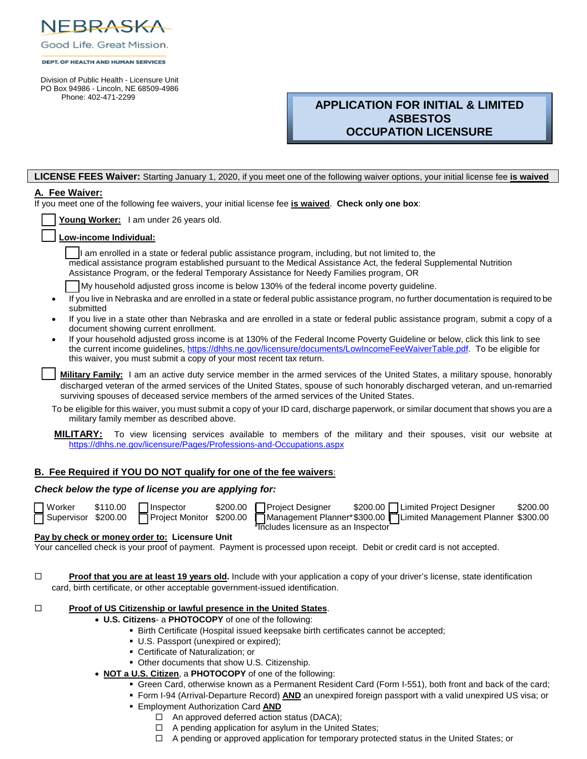

|  |  | Good Life. Great Mission. |
|--|--|---------------------------|
|  |  |                           |

#### DEPT, OF HEALTH AND HUMAN SERVICES

 Division of Public Health - Licensure Unit PO Box 94986 - Lincoln, NE 68509-4986 Phone: 402-471-2299

# **APPLICATION FOR INITIAL & LIMITED ASBESTOS OCCUPATION LICENSURE**

### **LICENSE FEES Waiver:** Starting January 1, 2020, if you meet one of the following waiver options, your initial license fee **is waived**

### **A. Fee Waiver:**

If you meet one of the following fee waivers, your initial license fee **is waived**. **Check only one box**:

|  | Young Worker: I am under 26 years old. |
|--|----------------------------------------|
|  |                                        |

### Low-income Individual:

If am enrolled in a state or federal public assistance program, including, but not limited to, the medical assistance program established pursuant to the Medical Assistance Act, the federal Supplemental Nutrition Assistance Program, or the federal Temporary Assistance for Needy Families program, OR

My household adjusted gross income is below 130% of the federal income poverty guideline.

- If you live in Nebraska and are enrolled in a state or federal public assistance program, no further documentation is required to be submitted
- If you live in a state other than Nebraska and are enrolled in a state or federal public assistance program, submit a copy of a document showing current enrollment.
- If your household adjusted gross income is at 130% of the Federal Income Poverty Guideline or below, click this link to see the current income guidelines, https[://dhhs.ne.gov/licensure/documents/LowIncomeFeeWaiverTable.pdf.](https://dhhs.ne.gov/licensure/documents/lowincomefeewaivertable.pdf) To be eligible for this waiver, you must submit a copy of your most recent tax return.

Military Family: I am an active duty service member in the armed services of the United States, a military spouse, honorably discharged veteran of the armed services of the United States, spouse of such honorably discharged veteran, and un-remarried surviving spouses of deceased service members of the armed services of the United States.

To be eligible for this waiver, you must submit a copy of your ID card, discharge paperwork, or similar document that shows you are a military family member as described above.

**MILITARY:** To view licensing services available to members of the military and their spouses, visit our website at https[://dhhs.ne.gov/licensure/Pages/Professions-and-Occupations.aspx](https://dhhs.ne.gov/licensure/pages/profession-and-occupations.aspx)

### **B. Fee Required if YOU DO NOT qualify for one of the fee waivers**:

### *Check below the type of license you are applying for:*

| Ω<br>г  |
|---------|
| I<br>۱. |

**Includes licensure as an Inspector** 

Worker \$110.00 Inspector \$200.00 Project Designer \$200.00 Limited Project Designer \$200.00<br>Supervisor \$200.00 PProject Monitor \$200.00 PManagement Planner\*\$300.00 PLimited Management Planner \$300.00 Management Planner\* \$300.00 Limited Management Planner \$300.00

#### **Pay by check or money order to: Licensure Unit**

Your cancelled check is your proof of payment. Payment is processed upon receipt. Debit or credit card is not accepted.

**Proof that you are at least 19 years old.** Include with your application a copy of your driver's license, state identification card, birth certificate, or other acceptable government-issued identification.

#### **Proof of US Citizenship or lawful presence in the United States.**

- **U.S. Citizens** a **PHOTOCOPY** of one of the following:
	- Birth Certificate (Hospital issued keepsake birth certificates cannot be accepted;
	- U.S. Passport (unexpired or expired);
	- Certificate of Naturalization; or
	- **Other documents that show U.S. Citizenship.**
- **NOT a U.S. Citizen**, a **PHOTOCOPY** of one of the following:
	- Green Card, otherwise known as a Permanent Resident Card (Form I-551), both front and back of the card;
	- Form I-94 (Arrival-Departure Record) **AND** an unexpired foreign passport with a valid unexpired US visa; or
	- Employment Authorization Card **AND**
		- □ An approved deferred action status (DACA);
		- $\Box$  A pending application for asylum in the United States;
		- $\Box$  A pending or approved application for temporary protected status in the United States; or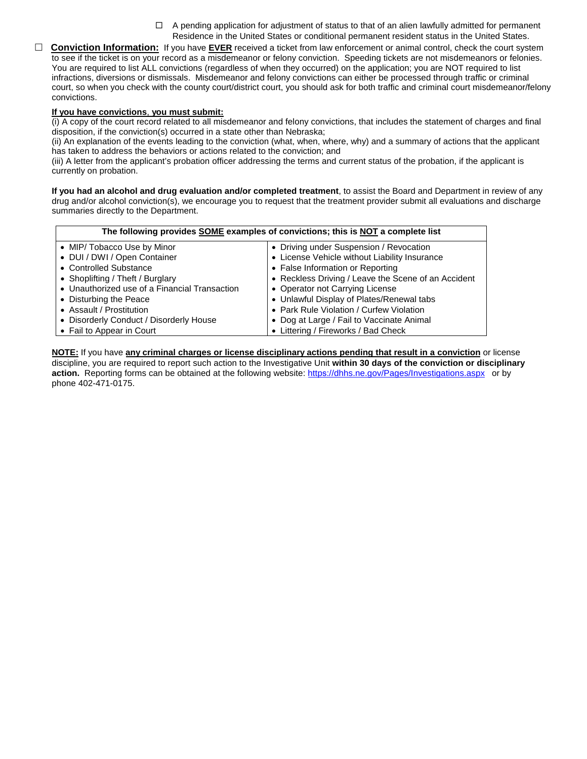- $\Box$  A pending application for adjustment of status to that of an alien lawfully admitted for permanent Residence in the United States or conditional permanent resident status in the United States.
- **Conviction Information:** If you have **EVER** received a ticket from law enforcement or animal control, check the court system to see if the ticket is on your record as a misdemeanor or felony conviction. Speeding tickets are not misdemeanors or felonies. You are required to list ALL convictions (regardless of when they occurred) on the application; you are NOT required to list infractions, diversions or dismissals. Misdemeanor and felony convictions can either be processed through traffic or criminal court, so when you check with the county court/district court, you should ask for both traffic and criminal court misdemeanor/felony convictions.

#### **If you have convictions**, **you must submit:**

(i) A copy of the court record related to all misdemeanor and felony convictions, that includes the statement of charges and final disposition, if the conviction(s) occurred in a state other than Nebraska;

(ii) An explanation of the events leading to the conviction (what, when, where, why) and a summary of actions that the applicant has taken to address the behaviors or actions related to the conviction; and

(iii) A letter from the applicant's probation officer addressing the terms and current status of the probation, if the applicant is currently on probation.

**If you had an alcohol and drug evaluation and/or completed treatment**, to assist the Board and Department in review of any drug and/or alcohol conviction(s), we encourage you to request that the treatment provider submit all evaluations and discharge summaries directly to the Department.

| The following provides SOME examples of convictions; this is NOT a complete list |                                                     |  |
|----------------------------------------------------------------------------------|-----------------------------------------------------|--|
| • MIP/ Tobacco Use by Minor                                                      | • Driving under Suspension / Revocation             |  |
| • DUI / DWI / Open Container                                                     | • License Vehicle without Liability Insurance       |  |
| • Controlled Substance                                                           | • False Information or Reporting                    |  |
| • Shoplifting / Theft / Burglary                                                 | • Reckless Driving / Leave the Scene of an Accident |  |
| • Unauthorized use of a Financial Transaction                                    | • Operator not Carrying License                     |  |
| • Disturbing the Peace                                                           | • Unlawful Display of Plates/Renewal tabs           |  |
| • Assault / Prostitution                                                         | • Park Rule Violation / Curfew Violation            |  |
| • Disorderly Conduct / Disorderly House                                          | • Dog at Large / Fail to Vaccinate Animal           |  |
| • Fail to Appear in Court                                                        | • Littering / Fireworks / Bad Check                 |  |

**NOTE:** If you have **any criminal charges or license disciplinary actions pending that result in a conviction** or license discipline, you are required to report such action to the Investigative Unit **within 30 days of the conviction or disciplinary**  action. Reporting forms can be obtained at the following website: https[://dhhs.ne.gov/Pages/Investigations.aspx](https://dhhs.ne.gov/pages/investigations.aspx) or by phone 402-471-0175.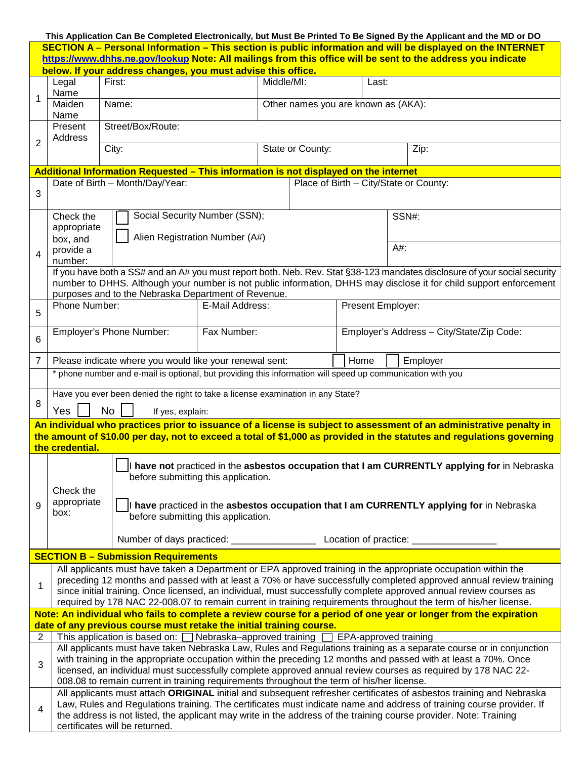|                |                                                                                                                                                                                                                                                                                                                                                                                                                                                                              |                                                                                                                                                                      |                 |            |                  |                                     | This Application Can Be Completed Electronically, but Must Be Printed To Be Signed By the Applicant and the MD or DO                                                                                                                      |  |
|----------------|------------------------------------------------------------------------------------------------------------------------------------------------------------------------------------------------------------------------------------------------------------------------------------------------------------------------------------------------------------------------------------------------------------------------------------------------------------------------------|----------------------------------------------------------------------------------------------------------------------------------------------------------------------|-----------------|------------|------------------|-------------------------------------|-------------------------------------------------------------------------------------------------------------------------------------------------------------------------------------------------------------------------------------------|--|
|                |                                                                                                                                                                                                                                                                                                                                                                                                                                                                              | below. If your address changes, you must advise this office.                                                                                                         |                 |            |                  |                                     | SECTION A - Personal Information - This section is public information and will be displayed on the INTERNET<br>https://www.dhhs.ne.gov/lookup Note: All mailings from this office will be sent to the address you indicate                |  |
|                | Legal                                                                                                                                                                                                                                                                                                                                                                                                                                                                        | First:                                                                                                                                                               |                 | Middle/MI: |                  | Last:                               |                                                                                                                                                                                                                                           |  |
|                | Name                                                                                                                                                                                                                                                                                                                                                                                                                                                                         |                                                                                                                                                                      |                 |            |                  |                                     |                                                                                                                                                                                                                                           |  |
| 1              | Maiden<br>Name                                                                                                                                                                                                                                                                                                                                                                                                                                                               | Name:                                                                                                                                                                |                 |            |                  | Other names you are known as (AKA): |                                                                                                                                                                                                                                           |  |
|                | Present<br>Address                                                                                                                                                                                                                                                                                                                                                                                                                                                           | Street/Box/Route:                                                                                                                                                    |                 |            |                  |                                     |                                                                                                                                                                                                                                           |  |
| $\overline{2}$ |                                                                                                                                                                                                                                                                                                                                                                                                                                                                              | City:                                                                                                                                                                |                 |            | State or County: |                                     | Zip:                                                                                                                                                                                                                                      |  |
|                |                                                                                                                                                                                                                                                                                                                                                                                                                                                                              | Additional Information Requested - This information is not displayed on the internet                                                                                 |                 |            |                  |                                     |                                                                                                                                                                                                                                           |  |
| 3              |                                                                                                                                                                                                                                                                                                                                                                                                                                                                              | Date of Birth - Month/Day/Year:                                                                                                                                      |                 |            |                  |                                     | Place of Birth - City/State or County:                                                                                                                                                                                                    |  |
|                |                                                                                                                                                                                                                                                                                                                                                                                                                                                                              |                                                                                                                                                                      |                 |            |                  |                                     |                                                                                                                                                                                                                                           |  |
|                | Check the<br>appropriate                                                                                                                                                                                                                                                                                                                                                                                                                                                     | Social Security Number (SSN);<br>Alien Registration Number (A#)                                                                                                      |                 |            |                  |                                     | SSN#:                                                                                                                                                                                                                                     |  |
| 4              | box, and<br>provide a<br>number:                                                                                                                                                                                                                                                                                                                                                                                                                                             |                                                                                                                                                                      |                 |            |                  |                                     | A#:                                                                                                                                                                                                                                       |  |
|                |                                                                                                                                                                                                                                                                                                                                                                                                                                                                              |                                                                                                                                                                      |                 |            |                  |                                     | If you have both a SS# and an A# you must report both. Neb. Rev. Stat §38-123 mandates disclosure of your social security                                                                                                                 |  |
|                |                                                                                                                                                                                                                                                                                                                                                                                                                                                                              | purposes and to the Nebraska Department of Revenue.                                                                                                                  |                 |            |                  |                                     | number to DHHS. Although your number is not public information, DHHS may disclose it for child support enforcement                                                                                                                        |  |
| 5              | Phone Number:                                                                                                                                                                                                                                                                                                                                                                                                                                                                |                                                                                                                                                                      | E-Mail Address: |            |                  | Present Employer:                   |                                                                                                                                                                                                                                           |  |
| 6              |                                                                                                                                                                                                                                                                                                                                                                                                                                                                              | Employer's Phone Number:                                                                                                                                             | Fax Number:     |            |                  |                                     | Employer's Address - City/State/Zip Code:                                                                                                                                                                                                 |  |
| 7              |                                                                                                                                                                                                                                                                                                                                                                                                                                                                              | Please indicate where you would like your renewal sent:                                                                                                              |                 |            |                  | Home                                | Employer                                                                                                                                                                                                                                  |  |
|                |                                                                                                                                                                                                                                                                                                                                                                                                                                                                              | * phone number and e-mail is optional, but providing this information will speed up communication with you                                                           |                 |            |                  |                                     |                                                                                                                                                                                                                                           |  |
| 8              | Have you ever been denied the right to take a license examination in any State?<br><b>No</b><br>Yes<br>If yes, explain:                                                                                                                                                                                                                                                                                                                                                      |                                                                                                                                                                      |                 |            |                  |                                     |                                                                                                                                                                                                                                           |  |
|                |                                                                                                                                                                                                                                                                                                                                                                                                                                                                              |                                                                                                                                                                      |                 |            |                  |                                     | An individual who practices prior to issuance of a license is subject to assessment of an administrative penalty in                                                                                                                       |  |
|                |                                                                                                                                                                                                                                                                                                                                                                                                                                                                              |                                                                                                                                                                      |                 |            |                  |                                     | the amount of \$10.00 per day, not to exceed a total of \$1,000 as provided in the statutes and regulations governing                                                                                                                     |  |
|                | the credential.                                                                                                                                                                                                                                                                                                                                                                                                                                                              |                                                                                                                                                                      |                 |            |                  |                                     |                                                                                                                                                                                                                                           |  |
|                |                                                                                                                                                                                                                                                                                                                                                                                                                                                                              | before submitting this application.                                                                                                                                  |                 |            |                  |                                     | Til have not practiced in the asbestos occupation that I am CURRENTLY applying for in Nebraska                                                                                                                                            |  |
|                | Check the                                                                                                                                                                                                                                                                                                                                                                                                                                                                    |                                                                                                                                                                      |                 |            |                  |                                     |                                                                                                                                                                                                                                           |  |
| 9              | appropriate<br>box:                                                                                                                                                                                                                                                                                                                                                                                                                                                          | before submitting this application.                                                                                                                                  |                 |            |                  |                                     | I have practiced in the asbestos occupation that I am CURRENTLY applying for in Nebraska                                                                                                                                                  |  |
|                |                                                                                                                                                                                                                                                                                                                                                                                                                                                                              |                                                                                                                                                                      |                 |            |                  |                                     |                                                                                                                                                                                                                                           |  |
|                |                                                                                                                                                                                                                                                                                                                                                                                                                                                                              | <b>SECTION B - Submission Requirements</b>                                                                                                                           |                 |            |                  |                                     |                                                                                                                                                                                                                                           |  |
|                |                                                                                                                                                                                                                                                                                                                                                                                                                                                                              |                                                                                                                                                                      |                 |            |                  |                                     |                                                                                                                                                                                                                                           |  |
| $\mathbf{1}$   | All applicants must have taken a Department or EPA approved training in the appropriate occupation within the<br>preceding 12 months and passed with at least a 70% or have successfully completed approved annual review training<br>since initial training. Once licensed, an individual, must successfully complete approved annual review courses as<br>required by 178 NAC 22-008.07 to remain current in training requirements throughout the term of his/her license. |                                                                                                                                                                      |                 |            |                  |                                     |                                                                                                                                                                                                                                           |  |
|                |                                                                                                                                                                                                                                                                                                                                                                                                                                                                              |                                                                                                                                                                      |                 |            |                  |                                     | Note: An individual who fails to complete a review course for a period of one year or longer from the expiration                                                                                                                          |  |
| $\overline{2}$ |                                                                                                                                                                                                                                                                                                                                                                                                                                                                              | date of any previous course must retake the initial training course.<br>This application is based on: $\Box$ Nebraska-approved training $\Box$ EPA-approved training |                 |            |                  |                                     |                                                                                                                                                                                                                                           |  |
|                |                                                                                                                                                                                                                                                                                                                                                                                                                                                                              |                                                                                                                                                                      |                 |            |                  |                                     | All applicants must have taken Nebraska Law, Rules and Regulations training as a separate course or in conjunction                                                                                                                        |  |
|                |                                                                                                                                                                                                                                                                                                                                                                                                                                                                              |                                                                                                                                                                      |                 |            |                  |                                     | with training in the appropriate occupation within the preceding 12 months and passed with at least a 70%. Once                                                                                                                           |  |
| 3              |                                                                                                                                                                                                                                                                                                                                                                                                                                                                              | 008.08 to remain current in training requirements throughout the term of his/her license.                                                                            |                 |            |                  |                                     | licensed, an individual must successfully complete approved annual review courses as required by 178 NAC 22-                                                                                                                              |  |
|                |                                                                                                                                                                                                                                                                                                                                                                                                                                                                              |                                                                                                                                                                      |                 |            |                  |                                     | All applicants must attach ORIGINAL initial and subsequent refresher certificates of asbestos training and Nebraska                                                                                                                       |  |
| $\overline{4}$ |                                                                                                                                                                                                                                                                                                                                                                                                                                                                              |                                                                                                                                                                      |                 |            |                  |                                     | Law, Rules and Regulations training. The certificates must indicate name and address of training course provider. If<br>the address is not listed, the applicant may write in the address of the training course provider. Note: Training |  |
|                | certificates will be returned.                                                                                                                                                                                                                                                                                                                                                                                                                                               |                                                                                                                                                                      |                 |            |                  |                                     |                                                                                                                                                                                                                                           |  |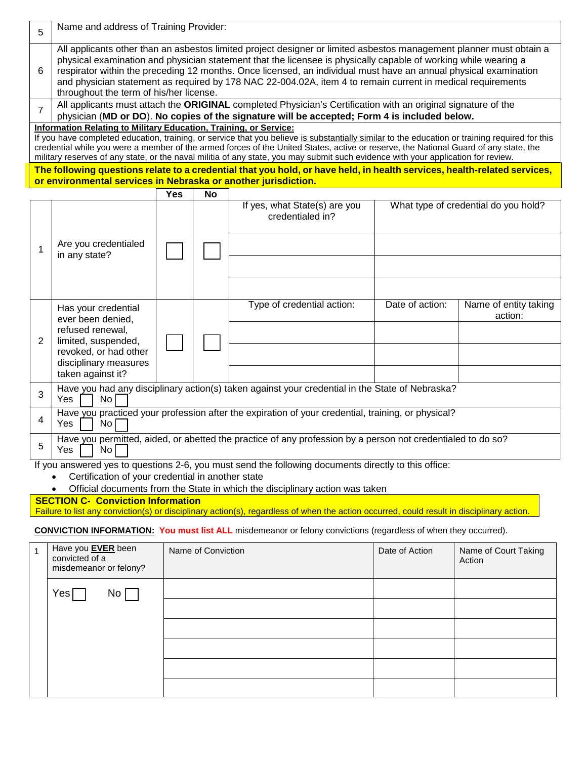| 5 | Name and address of Training Provider:                                                                                                                                                                                                                                                                                                                                                                                                                                                                               |
|---|----------------------------------------------------------------------------------------------------------------------------------------------------------------------------------------------------------------------------------------------------------------------------------------------------------------------------------------------------------------------------------------------------------------------------------------------------------------------------------------------------------------------|
| 6 | All applicants other than an asbestos limited project designer or limited asbestos management planner must obtain a<br>physical examination and physician statement that the licensee is physically capable of working while wearing a<br>respirator within the preceding 12 months. Once licensed, an individual must have an annual physical examination<br>and physician statement as required by 178 NAC 22-004.02A, item 4 to remain current in medical requirements<br>throughout the term of his/her license. |
|   | All applicants must attach the ORIGINAL completed Physician's Certification with an original signature of the<br>physician (MD or DO). No copies of the signature will be accepted; Form 4 is included below.                                                                                                                                                                                                                                                                                                        |
|   | Information Relating to Military Education, Training, or Service:                                                                                                                                                                                                                                                                                                                                                                                                                                                    |
|   | If you have completed education, training, or service that you believe is substantially similar to the education or training required for this                                                                                                                                                                                                                                                                                                                                                                       |
|   | credential while you were a member of the armed forces of the United States, active or reserve, the National Guard of any state, the                                                                                                                                                                                                                                                                                                                                                                                 |
|   | military reserves of any state, or the naval militia of any state, you may submit such evidence with your application for review.                                                                                                                                                                                                                                                                                                                                                                                    |
|   | The following questions relate to a credential that you hold, or have held, in health services, health-related services,                                                                                                                                                                                                                                                                                                                                                                                             |
|   | or environmental services in Nebraska or another jurisdiction.                                                                                                                                                                                                                                                                                                                                                                                                                                                       |
|   | $M_{\text{max}}$ and $M_{\text{max}}$                                                                                                                                                                                                                                                                                                                                                                                                                                                                                |

|   |                                                                                                                          | Yes | No. |                                                                                                      |                 |                                      |
|---|--------------------------------------------------------------------------------------------------------------------------|-----|-----|------------------------------------------------------------------------------------------------------|-----------------|--------------------------------------|
|   | Are you credentialed<br>in any state?                                                                                    |     |     | If yes, what State(s) are you<br>credentialed in?                                                    |                 | What type of credential do you hold? |
|   |                                                                                                                          |     |     |                                                                                                      |                 |                                      |
| 2 | Has your credential<br>ever been denied,<br>refused renewal,<br>limited, suspended,                                      |     |     | Type of credential action:                                                                           | Date of action: | Name of entity taking<br>action:     |
|   |                                                                                                                          |     |     |                                                                                                      |                 |                                      |
|   | revoked, or had other                                                                                                    |     |     |                                                                                                      |                 |                                      |
|   | disciplinary measures<br>taken against it?                                                                               |     |     |                                                                                                      |                 |                                      |
| 3 | Have you had any disciplinary action(s) taken against your credential in the State of Nebraska?<br>No<br>Yes             |     |     |                                                                                                      |                 |                                      |
| 4 | Have you practiced your profession after the expiration of your credential, training, or physical?<br>No<br>Yes          |     |     |                                                                                                      |                 |                                      |
| 5 | Have you permitted, aided, or abetted the practice of any profession by a person not credentialed to do so?<br>No<br>Yes |     |     |                                                                                                      |                 |                                      |
|   |                                                                                                                          |     |     | If you answered yes to questions 2-6, you must send the following documents directly to this office: |                 |                                      |

• Certification of your credential in another state

• Official documents from the State in which the disciplinary action was taken

### **SECTION C- Conviction Information**

Failure to list any conviction(s) or disciplinary action(s), regardless of when the action occurred, could result in disciplinary action.

**CONVICTION INFORMATION: You must list ALL** misdemeanor or felony convictions (regardless of when they occurred).

| Have you <b>EVER</b> been<br>convicted of a<br>misdemeanor or felony? | Name of Conviction | Date of Action | Name of Court Taking<br>Action |
|-----------------------------------------------------------------------|--------------------|----------------|--------------------------------|
| Yes[<br>No [                                                          |                    |                |                                |
|                                                                       |                    |                |                                |
|                                                                       |                    |                |                                |
|                                                                       |                    |                |                                |
|                                                                       |                    |                |                                |
|                                                                       |                    |                |                                |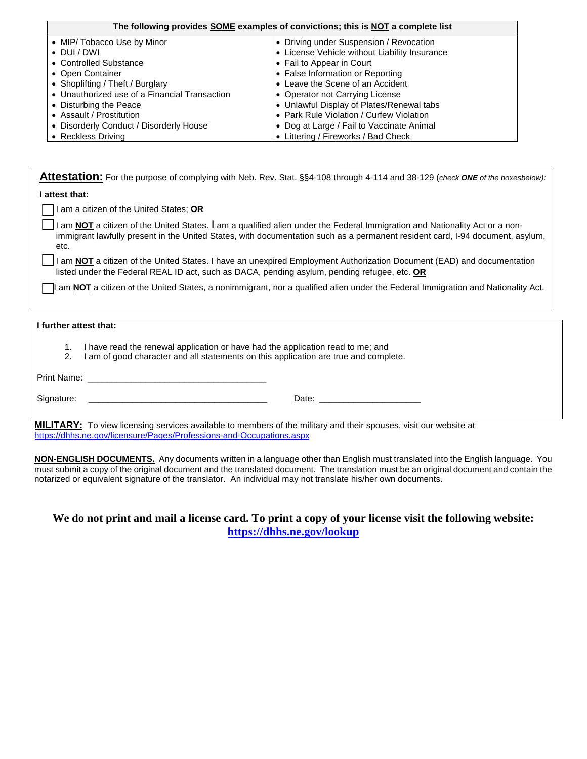| The following provides SOME examples of convictions; this is NOT a complete list |                                               |  |
|----------------------------------------------------------------------------------|-----------------------------------------------|--|
| • MIP/ Tobacco Use by Minor                                                      | • Driving under Suspension / Revocation       |  |
| $\bullet$ DUI/DWI                                                                | • License Vehicle without Liability Insurance |  |
| • Controlled Substance                                                           | • Fail to Appear in Court                     |  |
| • Open Container                                                                 | • False Information or Reporting              |  |
| • Shoplifting / Theft / Burglary                                                 | • Leave the Scene of an Accident              |  |
| • Unauthorized use of a Financial Transaction                                    | • Operator not Carrying License               |  |
| • Disturbing the Peace                                                           | • Unlawful Display of Plates/Renewal tabs     |  |
| • Assault / Prostitution                                                         | • Park Rule Violation / Curfew Violation      |  |
| • Disorderly Conduct / Disorderly House                                          | • Dog at Large / Fail to Vaccinate Animal     |  |
| • Reckless Driving                                                               | • Littering / Fireworks / Bad Check           |  |

| Attestation: For the purpose of complying with Neb. Rev. Stat. §§4-108 through 4-114 and 38-129 (check ONE of the boxesbelow):                                                                                                                                       |  |  |  |  |
|----------------------------------------------------------------------------------------------------------------------------------------------------------------------------------------------------------------------------------------------------------------------|--|--|--|--|
| l attest that:                                                                                                                                                                                                                                                       |  |  |  |  |
| am a citizen of the United States; OR                                                                                                                                                                                                                                |  |  |  |  |
| I am NOT a citizen of the United States. I am a qualified alien under the Federal Immigration and Nationality Act or a non-<br>immigrant lawfully present in the United States, with documentation such as a permanent resident card, I-94 document, asylum,<br>etc. |  |  |  |  |
| I am <b>NOT</b> a citizen of the United States. I have an unexpired Employment Authorization Document (EAD) and documentation<br>listed under the Federal REAL ID act, such as DACA, pending asylum, pending refugee, etc. OR                                        |  |  |  |  |
| am NOT a citizen of the United States, a nonimmigrant, nor a qualified alien under the Federal Immigration and Nationality Act.                                                                                                                                      |  |  |  |  |
| I further attest that:                                                                                                                                                                                                                                               |  |  |  |  |
| I have read the renewal application or have had the application read to me; and<br>1.<br>I am of good character and all statements on this application are true and complete.<br>2.                                                                                  |  |  |  |  |
| Print Name:                                                                                                                                                                                                                                                          |  |  |  |  |
| Signature:<br>Date:                                                                                                                                                                                                                                                  |  |  |  |  |

**MILITARY:** To view licensing services available to members of the military and their spouses, visit our website at https[://dhhs.ne.gov/licensure/Pages/Professions-and-Occupations.aspx](https://dhhs.ne.gov/licensure/pages/professions-and-occupations.aspx)

**NON-ENGLISH DOCUMENTS.** Any documents written in a language other than English must translated into the English language. You must submit a copy of the original document and the translated document. The translation must be an original document and contain the notarized or equivalent signature of the translator. An individual may not translate his/her own documents.

# **We do not print and mail a license card. To print a copy of your license visit the following website: https[://dhhs.ne.gov/lookup](https://dhhs.ne.gov/lookup)**